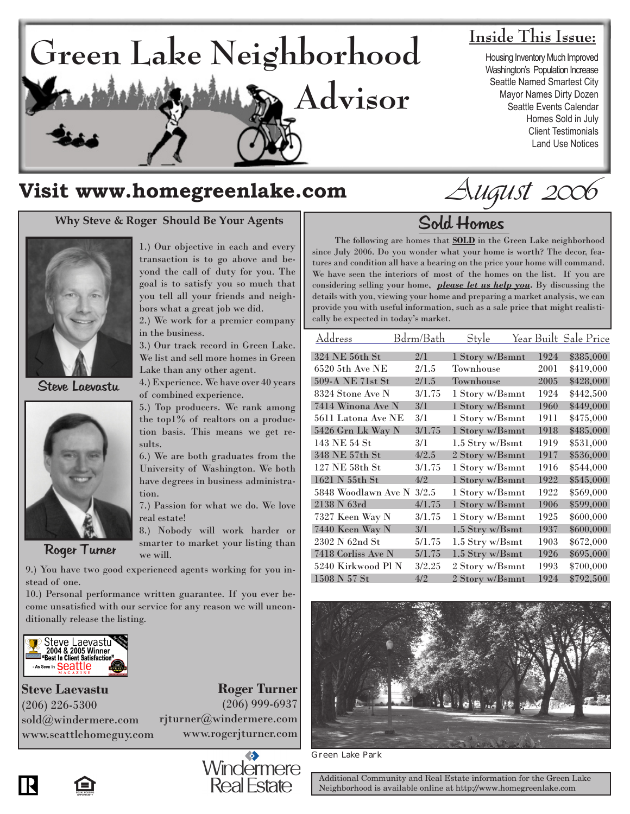

# **Inside This Issue:**

Housing Inventory Much Improved Washington's Population Increase Seattle Named Smartest City Mayor Names Dirty Dozen Seattle Events Calendar Homes Sold in July Client Testimonials Land Use Notices

# **Visit www.homegreenlake.com**

# **Why Steve & Roger Should Be Your Agents**



Steve Laevastu



Roger Turner

1.) Our objective in each and every transaction is to go above and beyond the call of duty for you. The goal is to satisfy you so much that you tell all your friends and neighbors what a great job we did.

2.) We work for a premier company in the business.

3.) Our track record in Green Lake. We list and sell more homes in Green Lake than any other agent.

4.) Experience. We have over 40 years of combined experience.

5.) Top producers. We rank among the top1% of realtors on a production basis. This means we get results.

6.) We are both graduates from the University of Washington. We both have degrees in business administration.

7.) Passion for what we do. We love real estate!

8.) Nobody will work harder or smarter to market your listing than we will.

9.) You have two good experienced agents working for you instead of one.

10.) Personal performance written guarantee. If you ever become unsatisfied with our service for any reason we will unconditionally release the listing.



**Roger Turner** (206) 999-6937 rjturner@windermere.com www.rogerjturner.com **Steve Laevastu** (206) 226-5300 sold@windermere.com www.seattlehomeguy.com

> Windermere **Real Estate**

August 2006

# Sold Homes

 The following are homes that **SOLD** in the Green Lake neighborhood since July 2006. Do you wonder what your home is worth? The decor, features and condition all have a bearing on the price your home will command. We have seen the interiors of most of the homes on the list. If you are considering selling your home, *please let us help you.* By discussing the details with you, viewing your home and preparing a market analysis, we can provide you with useful information, such as a sale price that might realistically be expected in today's market.

| Address             | Bdrm/Bath | Style           |      | Year Built Sale Price |
|---------------------|-----------|-----------------|------|-----------------------|
| 324 NE 56th St      | 2/1       | 1 Story w/Bsmnt | 1924 | \$385,000             |
| 6520 5th Ave NE     | 2/1.5     | Townhouse       | 2001 | \$419,000             |
| 509-A NE 71st St    | 2/1.5     | Townhouse       | 2005 | \$428,000             |
| 8324 Stone Ave N    | 3/1.75    | 1 Story w/Bsmnt | 1924 | \$442,500             |
| 7414 Winona Ave N   | 3/1       | 1 Story w/Bsmnt | 1960 | \$449,000             |
| 5611 Latona Ave NE  | 3/1       | 1 Story w/Bsmnt | 1911 | \$475,000             |
| 5426 Grn Lk Way N   | 3/1.75    | 1 Story w/Bsmnt | 1918 | \$485,000             |
| 143 NE 54 St        | 3/1       | 1.5 Stry w/Bsmt | 1919 | \$531,000             |
| 348 NE 57th St      | 4/2.5     | 2 Story w/Bsmnt | 1917 | \$536,000             |
| 127 NE 58th St      | 3/1.75    | 1 Story w/Bsmnt | 1916 | \$544,000             |
| 1621 N 55th St      | 4/2       | 1 Story w/Bsmnt | 1922 | \$545,000             |
| 5848 Woodlawn Ave N | 3/2.5     | 1 Story w/Bsmnt | 1922 | \$569,000             |
| 2138 N 63rd         | 4/1.75    | 1 Story w/Bsmnt | 1906 | \$599,000             |
| 7327 Keen Way N     | 3/1.75    | 1 Story w/Bsmnt | 1925 | \$600,000             |
| 7440 Keen Way N     | 3/1       | 1.5 Stry w/Bsmt | 1937 | \$600,000             |
| 2302 N 62nd St      | 5/1.75    | 1.5 Stry w/Bsmt | 1903 | \$672,000             |
| 7418 Corliss Ave N  | 5/1.75    | 1.5 Stry w/Bsmt | 1926 | \$695,000             |
| 5240 Kirkwood Pl N  | 3/2.25    | 2 Story w/Bsmnt | 1993 | \$700,000             |
| 1508 N 57 St        | 4/2       | 2 Story w/Bsmnt | 1924 | \$792,500             |



Green Lake Park

Additional Community and Real Estate information for the Green Lake Neighborhood is available online at http://www.homegreenlake.com

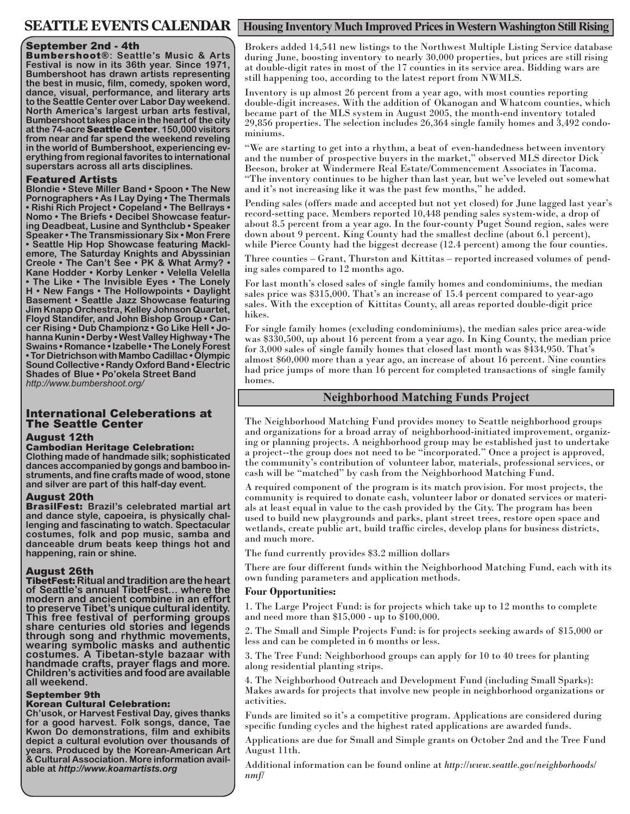### September 2nd - 4th

Bumbershoot®**: Seattle's Music & Arts Festival is now in its 36th year. Since 1971, Bumbershoot has drawn artists representing the best in music, film, comedy, spoken word, dance, visual, performance, and literary arts to the Seattle Center over Labor Day weekend. North America's largest urban arts festival, Bumbershoot takes place in the heart of the city at the 74-acre** Seattle Center**. 150,000 visitors from near and far spend the weekend reveling in the world of Bumbershoot, experiencing everything from regional favorites to international superstars across all arts disciplines.**

### Featured Artists

**Blondie • Steve Miller Band • Spoon • The New Pornographers • As I Lay Dying • The Thermals • Rishi Rich Project • Copeland • The Bellrays • Nomo • The Briefs • Decibel Showcase featuring Deadbeat, Lusine and Synthclub • Speaker Speaker • The Transmissionary Six • Mon Frere • Seattle Hip Hop Showcase featuring Mackl- emore, The Saturday Knights and Abyssinian Creole • The Can't See • PK & What Army? • Kane Hodder • Korby Lenker • Velella Velella • The Like • The Invisible Eyes • The Lonely H • New Fangs • The Hollowpoints • Daylight Basement • Seattle Jazz Showcase featuring Jim Knapp Orchestra, Kelley Johnson Quartet, Floyd Standifer, and John Bishop Group • Cancer Rising • Dub Championz • Go Like Hell • Johanna Kunin • Derby • West Valley Highway • The Swains • Romance • Izabelle • The Lonely Forest • Tor Dietrichson with Mambo Cadillac • Olympic Sound Collective • Randy Oxford Band • Electric Shades of Blue • Po'okela Street Band**  *http://www.bumbershoot.org/*

# International Celeberations at The Seattle Center

#### August 12th

#### Cambodian Heritage Celebration:

**Clothing made of handmade silk; sophisticated dances accompanied by gongs and bamboo instruments, and fine crafts made of wood, stone and silver are part of this half-day event.** 

#### August 20th

BrasilFest: **Brazil's celebrated martial art and dance style, capoeira, is physically challenging and fascinating to watch. Spectacular costumes, folk and pop music, samba and danceable drum beats keep things hot and happening, rain or shine.**

## August 26th

TibetFest: **Ritual and tradition are the heart of Seattle's annual TibetFest... where the modern and ancient combine in an effort to preserve Tibet's unique cultural identity. This free festival of performing groups share centuries old stories and legends through song and rhythmic movements, wearing symbolic masks and authentic costumes. A Tibetan-style bazaar with handmade crafts, prayer flags and more. Children's activities and food are available all weekend.**

## September 9th

# Korean Cultural Celebration:

**Ch'usok, or Harvest Festival Day, gives thanks for a good harvest. Folk songs, dance, Tae Kwon Do demonstrations, film and exhibits depict a cultural evolution over thousands of years. Produced by the Korean-American Art & Cultural Association. More information avail- able at** *http://www.koamartists.org*

# **SEATTLE EVENTS CALENDAR** | Housing Inventory Much Improved Prices in Western Washington Still Rising

Brokers added 14,541 new listings to the Northwest Multiple Listing Service database during June, boosting inventory to nearly 30,000 properties, but prices are still rising at double-digit rates in most of the 17 counties in its service area. Bidding wars are still happening too, according to the latest report from NWMLS.

Inventory is up almost 26 percent from a year ago, with most counties reporting double-digit increases. With the addition of Okanogan and Whatcom counties, which became part of the MLS system in August 2005, the month-end inventory totaled 29,856 properties. The selection includes 26,364 single family homes and 3,492 condominiums.

"We are starting to get into a rhythm, a beat of even-handedness between inventory and the number of prospective buyers in the market," observed MLS director Dick Beeson, broker at Windermere Real Estate/Commencement Associates in Tacoma. "The inventory continues to be higher than last year, but we've leveled out somewhat and it's not increasing like it was the past few months," he added.

Pending sales (offers made and accepted but not yet closed) for June lagged last year's record-setting pace. Members reported 10,448 pending sales system-wide, a drop of about 8.5 percent from a year ago. In the four-county Puget Sound region, sales were down about 9 percent. King County had the smallest decline (about 6.1 percent), while Pierce County had the biggest decrease (12.4 percent) among the four counties.

Three counties – Grant, Thurston and Kittitas – reported increased volumes of pending sales compared to 12 months ago.

For last month's closed sales of single family homes and condominiums, the median sales price was \$315,000. That's an increase of 15.4 percent compared to year-ago sales. With the exception of Kittitas County, all areas reported double-digit price hikes.

For single family homes (excluding condominiums), the median sales price area-wide was \$330,500, up about 16 percent from a year ago. In King County, the median price for 3,000 sales of single family homes that closed last month was \$434,950. That's almost \$60,000 more than a year ago, an increase of about 16 percent. Nine counties had price jumps of more than 16 percent for completed transactions of single family homes.

## **Neighborhood Matching Funds Project**

The Neighborhood Matching Fund provides money to Seattle neighborhood groups ing or planning projects. A neighborhood group may be established just to undertake a project--the group does not need to be "incorporated." Once a project is approved, the community's contribution of volunteer labor, materials, professional services, or cash will be "matched" by cash from the Neighborhood Matching Fund.

A required component of the program is its match provision. For most projects, the community is required to donate cash, volunteer labor or donated services or materi- als at least equal in value to the cash provided by the City. The program has been used to build new playgrounds and parks, plant street trees, restore open space and wetlands, create public art, build traffic circles, develop plans for business districts, and much more.

The fund currently provides \$3.2 million dollars

There are four different funds within the Neighborhood Matching Fund, each with its own funding parameters and application methods.

#### **Four Opportunities:**

1. The Large Project Fund: is for projects which take up to 12 months to complete and need more than \$15,000 - up to \$100,000.

2. The Small and Simple Projects Fund: is for projects seeking awards of \$15,000 or less and can be completed in 6 months or less.

3. The Tree Fund: Neighborhood groups can apply for 10 to 40 trees for planting along residential planting strips.

4. The Neighborhood Outreach and Development Fund (including Small Sparks): Makes awards for projects that involve new people in neighborhood organizations or activities.

Funds are limited so it's a competitive program. Applications are considered during specific funding cycles and the highest rated applications are awarded funds.

Applications are due for Small and Simple grants on October 2nd and the Tree Fund August 11th.

Additional information can be found online at *http://www.seattle.gov/neighborhoods/ nmf/*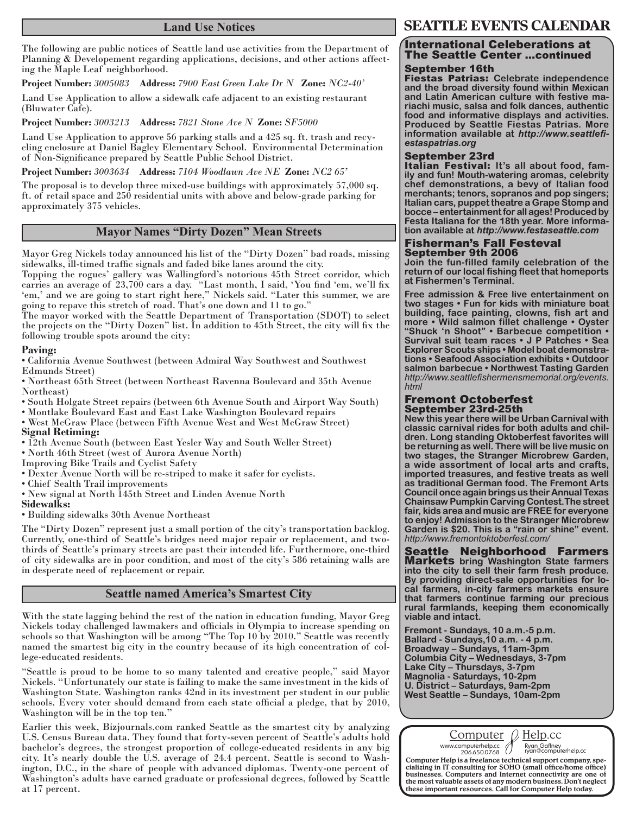# **Land Use Notices**

The following are public notices of Seattle land use activities from the Department of Planning & Developement regarding applications, decisions, and other actions affecting the Maple Leaf neighborhood.

**Project Number:** *3005083* **Address:** *7900 East Green Lake Dr N* **Zone:** *NC2-40'* 

Land Use Application to allow a sidewalk cafe adjacent to an existing restaurant (Bluwater Cafe).

**Project Number:** *3003213* **Address:** *7821 Stone Ave N* **Zone:** *SF5000*

Land Use Application to approve 56 parking stalls and a 425 sq. ft. trash and recycling enclosure at Daniel Bagley Elementary School. Environmental Determination of Non-Significance prepared by Seattle Public School District.

**Project Number:** *3003634* **Address:** *7104 Woodlawn Ave NE* **Zone:** *NC2 65'*

The proposal is to develop three mixed-use buildings with approximately 57,000 sq. ft. of retail space and 250 residential units with above and below-grade parking for approximately 375 vehicles.

# **Mayor Names "Dirty Dozen" Mean Streets**

Mayor Greg Nickels today announced his list of the "Dirty Dozen" bad roads, missing sidewalks, ill-timed traffic signals and faded bike lanes around the city.

Topping the rogues' gallery was Wallingford's notorious 45th Street corridor, which carries an average of 23,700 cars a day. "Last month, I said, 'You find 'em, we'll fix 'em,' and we are going to start right here," Nickels said. "Later this summer, we are going to repave this stretch of road. That's one down and 11 to go."

The mayor worked with the Seattle Department of Transportation (SDOT) to select the projects on the "Dirty Dozen" list. In addition to 45th Street, the city will fix the following trouble spots around the city:

### **Paving:**

• California Avenue Southwest (between Admiral Way Southwest and Southwest Edmunds Street)

• Northeast 65th Street (between Northeast Ravenna Boulevard and 35th Avenue Northeast)

• South Holgate Street repairs (between 6th Avenue South and Airport Way South)

• Montlake Boulevard East and East Lake Washington Boulevard repairs

• West McGraw Place (between Fifth Avenue West and West McGraw Street) **Signal Retiming:** 

• 12th Avenue South (between East Yesler Way and South Weller Street)

• North 46th Street (west of Aurora Avenue North)

Improving Bike Trails and Cyclist Safety

• Dexter Avenue North will be re-striped to make it safer for cyclists.

• Chief Sealth Trail improvements

• New signal at North 145th Street and Linden Avenue North

### **Sidewalks:**

• Building sidewalks 30th Avenue Northeast

The "Dirty Dozen" represent just a small portion of the city's transportation backlog. Currently, one-third of Seattle's bridges need major repair or replacement, and twothirds of Seattle's primary streets are past their intended life. Furthermore, one-third of city sidewalks are in poor condition, and most of the city's 586 retaining walls are in desperate need of replacement or repair.

# **Seattle named America's Smartest City**

With the state lagging behind the rest of the nation in education funding, Mayor Greg Nickels today challenged lawmakers and officials in Olympia to increase spending on schools so that Washington will be among "The Top 10 by 2010." Seattle was recently named the smartest big city in the country because of its high concentration of college-educated residents.

"Seattle is proud to be home to so many talented and creative people," said Mayor Nickels. "Unfortunately our state is failing to make the same investment in the kids of Washington State. Washington ranks 42nd in its investment per student in our public schools. Every voter should demand from each state official a pledge, that by 2010, Washington will be in the top ten."

Earlier this week, Bizjournals.com ranked Seattle as the smartest city by analyzing U.S. Census Bureau data. They found that forty-seven percent of Seattle's adults hold bachelor's degrees, the strongest proportion of college-educated residents in any big city. It's nearly double the U.S. average of 24.4 percent. Seattle is second to Washington, D.C., in the share of people with advanced diplomas. Twenty-one percent of Washington's adults have earned graduate or professional degrees, followed by Seattle at 17 percent.

# **SEATTLE EVENTS CALENDAR**

# International Celeberations at The Seattle Center ...continued

# September 16th

Fiestas Patrias: **Celebrate independence and the broad diversity found within Mexican and Latin American culture with festive mariachi music, salsa and folk dances, authentic food and informative displays and activities. Produced by Seattle Fiestas Patrias. More information available at** *http://www.seattlefiestaspatrias.org*

**September 23rd**<br>Italian Festival: It's all about food, fam**ily and fun! Mouth-watering aromas, celebrity chef demonstrations, a bevy of Italian food merchants; tenors, sopranos and pop singers; Italian cars, puppet theatre a Grape Stomp and bocce – entertainment for all ages! Produced by Festa Italiana for the 18th year. More information available at** *http://www.festaseattle.com*

#### Fisherman's Fall Festeval September 9th 2006

**Join the fun-filled family celebration of the return of our local fishing fleet that homeports at Fishermen's Terminal.**

**Free admission & Free live entertainment on two stages • Fun for kids with miniature boat building, face painting, clowns, fish art and more • Wild salmon fillet challenge • Oyster "Shuck 'n Shoot" • Barbecue competition • Survival suit team races • J P Patches • Sea Explorer Scouts ships • Model boat demonstrations • Seafood Association exhibits • Outdoor salmon barbecue • Northwest Tasting Garden**  *http://www.seattlefishermensmemorial.org/events. html*

#### Fremont Octoberfest September 23rd-25th

**New this year there will be Urban Carnival with classic carnival rides for both adults and children. Long standing Oktoberfest favorites will be returning as well. There will be live music on two stages, the Stranger Microbrew Garden, a wide assortment of local arts and crafts, imported treasures, and festive treats as well as traditional German food. The Fremont Arts Council once again brings us their Annual Texas Chainsaw Pumpkin Carving Contest.The street fair, kids area and music are FREE for everyone to enjoy! Admission to the Stranger Microbrew Garden is \$20. This is a "rain or shine" event.**  *http://www.fremontoktoberfest.com/*

Seattle Neighborhood Farmers Markets **bring Washington State farmers into the city to sell their farm fresh produce. By providing direct-sale opportunities for local farmers, in-city farmers markets ensure that farmers continue farming our precious rural farmlands, keeping them economically viable and intact.** 

**Fremont - Sundays, 10 a.m.-5 p.m. Ballard - Sundays,10 a.m. - 4 p.m. Broadway – Sundays, 11am-3pm Columbia City – Wednesdays, 3-7pm Lake City – Thursdays, 3-7pm Magnolia - Saturdays, 10-2pm U. District – Saturdays, 9am-2pm West Seattle – Sundays, 10am-2pm**